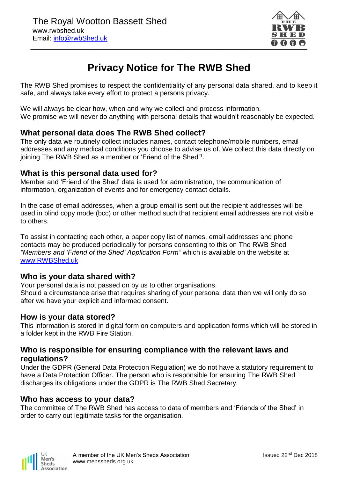

# **Privacy Notice for The RWB Shed**

The RWB Shed promises to respect the confidentiality of any personal data shared, and to keep it safe, and always take every effort to protect a persons privacy.

We will always be clear how, when and why we collect and process information. We promise we will never do anything with personal details that wouldn't reasonably be expected.

## **What personal data does The RWB Shed collect?**

The only data we routinely collect includes names, contact telephone/mobile numbers, email addresses and any medical conditions you choose to advise us of. We collect this data directly on joining The RWB Shed as a member or 'Friend of the Shed'<sup>1</sup>.

#### **What is this personal data used for?**

Member and 'Friend of the Shed' data is used for administration, the communication of information, organization of events and for emergency contact details.

In the case of email addresses, when a group email is sent out the recipient addresses will be used in blind copy mode (bcc) or other method such that recipient email addresses are not visible to others.

To assist in contacting each other, a paper copy list of names, email addresses and phone contacts may be produced periodically for persons consenting to this on The RWB Shed *"Members and 'Friend of the Shed' Application Form"* which is available on the website at [www.RWBShed.uk](http://www.rwbshed.uk/)

#### **Who is your data shared with?**

Your personal data is not passed on by us to other organisations. Should a circumstance arise that requires sharing of your personal data then we will only do so after we have your explicit and informed consent.

#### **How is your data stored?**

This information is stored in digital form on computers and application forms which will be stored in a folder kept in the RWB Fire Station.

#### **Who is responsible for ensuring compliance with the relevant laws and regulations?**

Under the GDPR (General Data Protection Regulation) we do not have a statutory requirement to have a Data Protection Officer. The person who is responsible for ensuring The RWB Shed discharges its obligations under the GDPR is The RWB Shed Secretary.

#### **Who has access to your data?**

The committee of The RWB Shed has access to data of members and 'Friends of the Shed' in order to carry out legitimate tasks for the organisation.